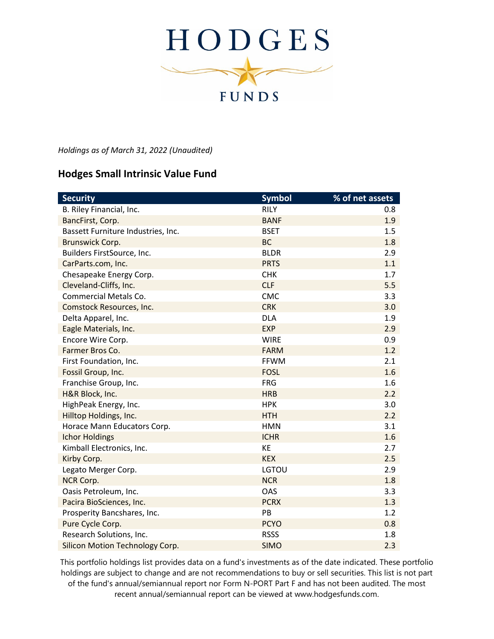

*Holdings as of March 31, 2022 (Unaudited)*

## **Hodges Small Intrinsic Value Fund**

| <b>Security</b>                        | <b>Symbol</b> | % of net assets |
|----------------------------------------|---------------|-----------------|
| B. Riley Financial, Inc.               | <b>RILY</b>   | 0.8             |
| BancFirst, Corp.                       | <b>BANF</b>   | 1.9             |
| Bassett Furniture Industries, Inc.     | <b>BSET</b>   | 1.5             |
| Brunswick Corp.                        | <b>BC</b>     | 1.8             |
| Builders FirstSource, Inc.             | <b>BLDR</b>   | 2.9             |
| CarParts.com, Inc.                     | <b>PRTS</b>   | 1.1             |
| Chesapeake Energy Corp.                | <b>CHK</b>    | 1.7             |
| Cleveland-Cliffs, Inc.                 | <b>CLF</b>    | 5.5             |
| <b>Commercial Metals Co.</b>           | <b>CMC</b>    | 3.3             |
| Comstock Resources, Inc.               | <b>CRK</b>    | 3.0             |
| Delta Apparel, Inc.                    | <b>DLA</b>    | 1.9             |
| Eagle Materials, Inc.                  | <b>EXP</b>    | 2.9             |
| Encore Wire Corp.                      | <b>WIRE</b>   | 0.9             |
| Farmer Bros Co.                        | <b>FARM</b>   | 1.2             |
| First Foundation, Inc.                 | <b>FFWM</b>   | 2.1             |
| Fossil Group, Inc.                     | <b>FOSL</b>   | 1.6             |
| Franchise Group, Inc.                  | <b>FRG</b>    | 1.6             |
| H&R Block, Inc.                        | <b>HRB</b>    | 2.2             |
| HighPeak Energy, Inc.                  | <b>HPK</b>    | 3.0             |
| Hilltop Holdings, Inc.                 | <b>HTH</b>    | 2.2             |
| Horace Mann Educators Corp.            | <b>HMN</b>    | 3.1             |
| <b>Ichor Holdings</b>                  | <b>ICHR</b>   | 1.6             |
| Kimball Electronics, Inc.              | KE            | 2.7             |
| Kirby Corp.                            | <b>KEX</b>    | 2.5             |
| Legato Merger Corp.                    | <b>LGTOU</b>  | 2.9             |
| <b>NCR Corp.</b>                       | <b>NCR</b>    | 1.8             |
| Oasis Petroleum, Inc.                  | OAS           | 3.3             |
| Pacira BioSciences, Inc.               | <b>PCRX</b>   | 1.3             |
| Prosperity Bancshares, Inc.            | PB            | 1.2             |
| Pure Cycle Corp.                       | <b>PCYO</b>   | 0.8             |
| Research Solutions, Inc.               | <b>RSSS</b>   | 1.8             |
| <b>Silicon Motion Technology Corp.</b> | <b>SIMO</b>   | 2.3             |

This portfolio holdings list provides data on a fund's investments as of the date indicated. These portfolio holdings are subject to change and are not recommendations to buy or sell securities. This list is not part of the fund's annual/semiannual report nor Form N-PORT Part F and has not been audited. The most recent annual/semiannual report can be viewed at www.hodgesfunds.com.